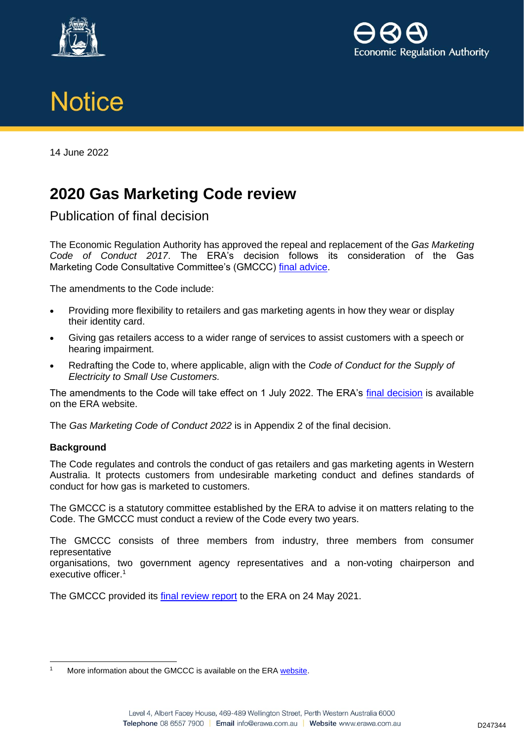





14 June 2022

## **2020 Gas Marketing Code review**

Publication of final decision

The Economic Regulation Authority has approved the repeal and replacement of the *Gas Marketing Code of Conduct 2017*. The ERA's decision follows its consideration of the Gas Marketing Code Consultative Committee's (GMCCC) [final advice.](http://www.erawa.com.au/cproot/22686/2/GMCCC-letter-of-final-advice---2020-review-of-the-Gas-Marketing-Code-of-Conduct.PDF)

The amendments to the Code include:

- Providing more flexibility to retailers and gas marketing agents in how they wear or display their identity card.
- Giving gas retailers access to a wider range of services to assist customers with a speech or hearing impairment.
- Redrafting the Code to, where applicable, align with the *Code of Conduct for the Supply of Electricity to Small Use Customers.*

The amendments to the Code will take effect on 1 July 2022. The ERA's [final decision](http://www.erawa.com.au/cproot/22692/2/Final-decision---Amendments-to-the-Gas-Marketing-Code-of-Conduct-2017.PDF) is available on the ERA website.

The *Gas Marketing Code of Conduct 2022* is in Appendix 2 of the final decision.

## **Background**

The Code regulates and controls the conduct of gas retailers and gas marketing agents in Western Australia. It protects customers from undesirable marketing conduct and defines standards of conduct for how gas is marketed to customers.

The GMCCC is a statutory committee established by the ERA to advise it on matters relating to the Code. The GMCCC must conduct a review of the Code every two years.

The GMCCC consists of three members from industry, three members from consumer representative

organisations, two government agency representatives and a non-voting chairperson and executive officer.<sup>1</sup>

The GMCCC provided its [final review report](http://www.erawa.com.au/cproot/22479/2/Final-Review-Report---2020-Review-of-the-Gas-Marketing-Code-of-Conduct.pdf) to the ERA on 24 May 2021.

More information about the GMCCC is available on the ER[A website.](https://www.erawa.com.au/gas/gas-licensing/gas-marketing-code-of-conduct/gas-marketing-code-consultative-committee)